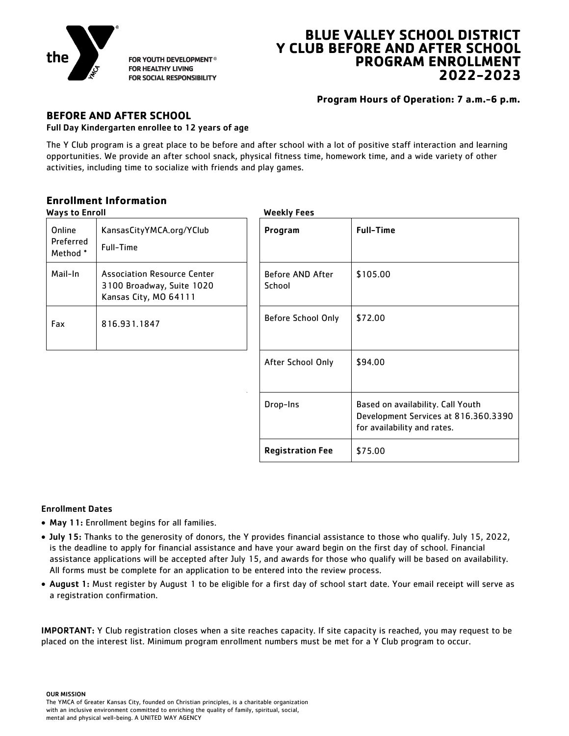

FOR YOUTH DEVELOPMENT® **FOR HEALTHY LIVING** FOR SOCIAL RESPONSIBILITY

# **BLUE VALLEY SCHOOL DISTRICT Y CLUB BEFORE AND AFTER SCHOOL PROGRAM ENROLLMENT 2022-2023**

**Program Hours of Operation: 7 a.m.-6 p.m.**

#### **BEFORE AND AFTER SCHOOL** Full Day Kindergarten enrollee to 12 years of age

The Y Club program is a great place to be before and after school with a lot of positive staff interaction and learning opportunities. We provide an after school snack, physical fitness time, homework time, and a wide variety of other activities, including time to socialize with friends and play games.

### **Enrollment Information**

| <b>Ways to Enroll</b>           |                                                                                          |                            | <b>Weekly Fees</b>                                                                                       |  |  |  |
|---------------------------------|------------------------------------------------------------------------------------------|----------------------------|----------------------------------------------------------------------------------------------------------|--|--|--|
| Online<br>Preferred<br>Method * | KansasCityYMCA.org/YClub<br>Full-Time                                                    | Program                    | <b>Full-Time</b>                                                                                         |  |  |  |
| Mail-In                         | <b>Association Resource Center</b><br>3100 Broadway, Suite 1020<br>Kansas City, MO 64111 | Before AND After<br>School | \$105.00                                                                                                 |  |  |  |
| Fax                             | 816.931.1847                                                                             | Before School Only         | \$72.00                                                                                                  |  |  |  |
|                                 |                                                                                          | After School Only          | \$94.00                                                                                                  |  |  |  |
|                                 |                                                                                          | Drop-Ins                   | Based on availability. Call Youth<br>Development Services at 816.360.3390<br>for availability and rates. |  |  |  |
|                                 |                                                                                          | <b>Registration Fee</b>    | \$75.00                                                                                                  |  |  |  |

### Enrollment Dates

- May 11: Enrollment begins for all families.
- July 15: Thanks to the generosity of donors, the Y provides financial assistance to those who qualify. July 15, 2022, is the deadline to apply for financial assistance and have your award begin on the first day of school. Financial assistance applications will be accepted after July 15, and awards for those who qualify will be based on availability. All forms must be complete for an application to be entered into the review process.
- August 1: Must register by August 1 to be eligible for a first day of school start date. Your email receipt will serve as a registration confirmation.

IMPORTANT: Y Club registration closes when a site reaches capacity. If site capacity is reached, you may request to be placed on the interest list. Minimum program enrollment numbers must be met for a Y Club program to occur.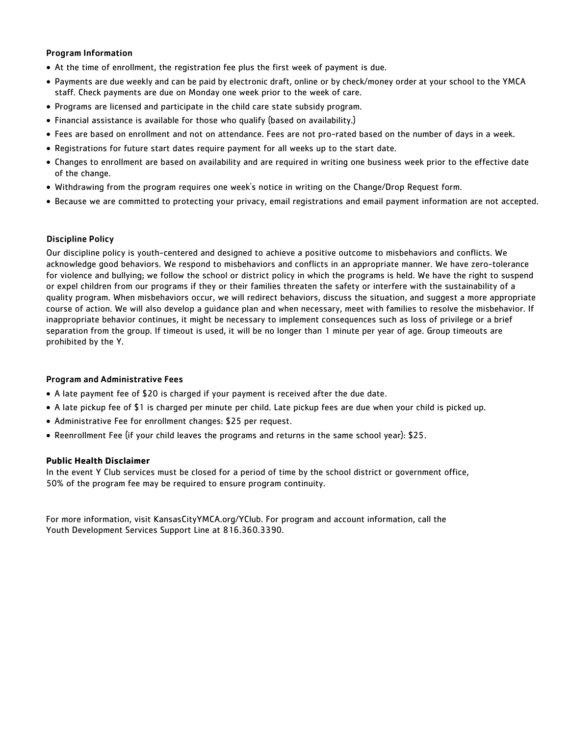#### Program Information

- At the time of enrollment, the registration fee plus the first week of payment is due.
- Payments are due weekly and can be paid by electronic draft, online or by check/money order at your school to the YMCA staff. Check payments are due on Monday one week prior to the week of care.
- Programs are licensed and participate in the child care state subsidy program.
- Financial assistance is available for those who qualify (based on availability.)
- Fees are based on enrollment and not on attendance. Fees are not pro-rated based on the number of days in a week.
- Registrations for future start dates require payment for all weeks up to the start date.
- Changes to enrollment are based on availability and are required in writing one business week prior to the effective date of the change.
- Withdrawing from the program requires one week's notice in writing on the Change/Drop Request form.
- Because we are committed to protecting your privacy, email registrations and email payment information are not accepted.

#### Discipline Policy

Our discipline policy is youth-centered and designed to achieve a positive outcome to misbehaviors and conflicts. We acknowledge good behaviors. We respond to misbehaviors and conflicts in an appropriate manner. We have zero-tolerance for violence and bullying; we follow the school or district policy in which the programs is held. We have the right to suspend or expel children from our programs if they or their families threaten the safety or interfere with the sustainability of a quality program. When misbehaviors occur, we will redirect behaviors, discuss the situation, and suggest a more appropriate course of action. We will also develop a guidance plan and when necessary, meet with families to resolve the misbehavior. If inappropriate behavior continues, it might be necessary to implement consequences such as loss of privilege or a brief separation from the group. If timeout is used, it will be no longer than 1 minute per year of age. Group timeouts are prohibited by the Y.

#### Program and Administrative Fees

- A late payment fee of \$20 is charged if your payment is received after the due date.
- A late pickup fee of \$1 is charged per minute per child. Late pickup fees are due when your child is picked up.
- Administrative Fee for enrollment changes: \$25 per request.
- Reenrollment Fee (if your child leaves the programs and returns in the same school year): \$25.

#### **Public Health Disclaimer**

In the event Y Club services must be closed for a period of time by the school district or government office, 50% of the program fee may be required to ensure program continuity.

For more information, visit KansasCityYMCA.org/YClub. For program and account information, call the Youth Development Services Support Line at 816.360.3390.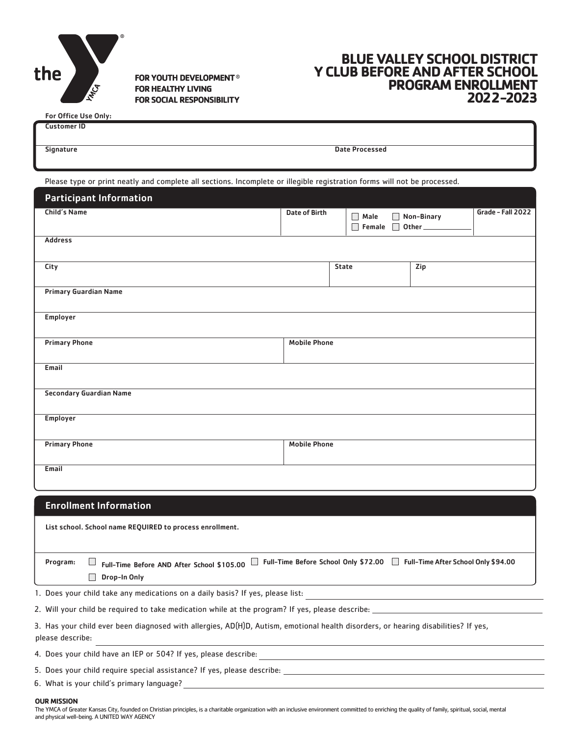

FOR YOUTH DEVELOPMENT<sup>®</sup> **FOR HEALTHY LIVING FOR SOCIAL RESPONSIBILITY** 

## **BLUE VALLEY SCHOOL DISTRICT Y CLUB BEFORE AND AFTER SCHOOL PROGRAM ENROLLMENT 2022-2023**

| <b>For Office Use Only:</b> |                       |  |
|-----------------------------|-----------------------|--|
| <b>Customer ID</b>          |                       |  |
|                             |                       |  |
| Signature                   | <b>Date Processed</b> |  |
|                             |                       |  |

Please type or print neatly and complete all sections. Incomplete or illegible registration forms will not be processed.

| <b>Participant Information</b>                           |                      |                             |            |                   |  |  |
|----------------------------------------------------------|----------------------|-----------------------------|------------|-------------------|--|--|
| <b>Child's Name</b>                                      | <b>Date of Birth</b> | $\Box$ Male<br>Female 0ther | Non-Binary | Grade - Fall 2022 |  |  |
| <b>Address</b>                                           |                      |                             |            |                   |  |  |
| City                                                     |                      | <b>State</b>                | Zip        |                   |  |  |
| <b>Primary Guardian Name</b>                             |                      |                             |            |                   |  |  |
| Employer                                                 |                      |                             |            |                   |  |  |
| <b>Primary Phone</b>                                     | <b>Mobile Phone</b>  |                             |            |                   |  |  |
| Email                                                    |                      |                             |            |                   |  |  |
| <b>Secondary Guardian Name</b>                           |                      |                             |            |                   |  |  |
| <b>Employer</b>                                          |                      |                             |            |                   |  |  |
| <b>Primary Phone</b>                                     | <b>Mobile Phone</b>  |                             |            |                   |  |  |
| Email                                                    |                      |                             |            |                   |  |  |
| <b>Enrollment Information</b>                            |                      |                             |            |                   |  |  |
| List school. School name REQUIRED to process enrollment. |                      |                             |            |                   |  |  |

Program:  $\Box$  Full-Time Before AND After School \$105.00  $\Box$  Full-Time Before School Only \$72.00  $\Box$  Full-Time After School Only \$94.00

Drop-In Only

1. Does your child take any medications on a daily basis? If yes, please list:

2. Will your child be required to take medication while at the program? If yes, please describe:

3. Has your child ever been diagnosed with allergies, AD(H)D, Autism, emotional health disorders, or hearing disabilities? If yes, please describe:

4. Does your child have an IEP or 504? If yes, please describe:

5. Does your child require special assistance? If yes, please describe:

6. What is your child's primary language?

#### **OUR MISSION**

The YMCA of Greater Kansas City, founded on Christian principles, is a charitable organization with an inclusive environment committed to enriching the quality of family, spiritual, social, mental and physical well-being. A UNITED WAY AGENCY